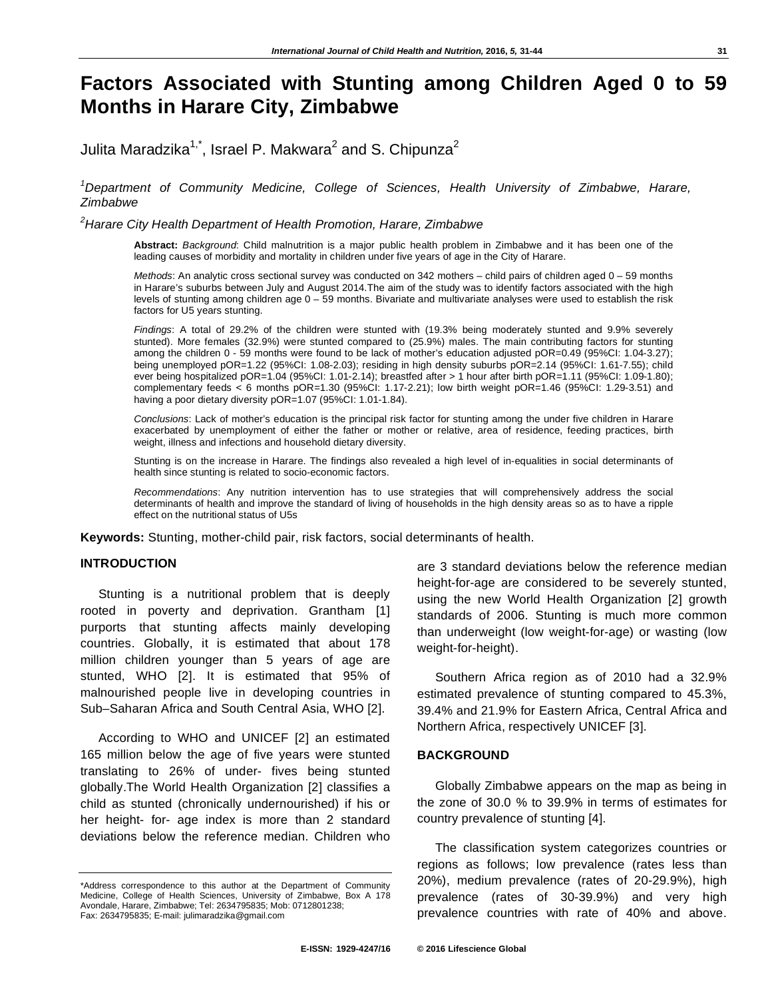# **Factors Associated with Stunting among Children Aged 0 to 59 Months in Harare City, Zimbabwe**

Julita Maradzika $^{1, \star}$ , Israel P. Makwara $^2$  and S. Chipunza $^2$ 

<sup>1</sup>Department of Community Medicine, College of Sciences, Health University of Zimbabwe, Harare, *Zimbabwe* 

*2 Harare City Health Department of Health Promotion, Harare, Zimbabwe* 

**Abstract:** *Background*: Child malnutrition is a major public health problem in Zimbabwe and it has been one of the leading causes of morbidity and mortality in children under five years of age in the City of Harare.

*Methods*: An analytic cross sectional survey was conducted on 342 mothers – child pairs of children aged 0 – 59 months in Harare's suburbs between July and August 2014.The aim of the study was to identify factors associated with the high levels of stunting among children age 0 – 59 months. Bivariate and multivariate analyses were used to establish the risk factors for U5 years stunting.

*Findings*: A total of 29.2% of the children were stunted with (19.3% being moderately stunted and 9.9% severely stunted). More females (32.9%) were stunted compared to (25.9%) males. The main contributing factors for stunting among the children 0 - 59 months were found to be lack of mother's education adjusted pOR=0.49 (95%CI: 1.04-3.27); being unemployed pOR=1.22 (95%CI: 1.08-2.03); residing in high density suburbs pOR=2.14 (95%CI: 1.61-7.55); child ever being hospitalized pOR=1.04 (95%CI: 1.01-2.14); breastfed after > 1 hour after birth pOR=1.11 (95%CI: 1.09-1.80); complementary feeds < 6 months pOR=1.30 (95%CI: 1.17-2.21); low birth weight pOR=1.46 (95%CI: 1.29-3.51) and having a poor dietary diversity pOR=1.07 (95%CI: 1.01-1.84).

*Conclusions*: Lack of mother's education is the principal risk factor for stunting among the under five children in Harare exacerbated by unemployment of either the father or mother or relative, area of residence, feeding practices, birth weight, illness and infections and household dietary diversity.

Stunting is on the increase in Harare. The findings also revealed a high level of in-equalities in social determinants of health since stunting is related to socio-economic factors.

*Recommendations*: Any nutrition intervention has to use strategies that will comprehensively address the social determinants of health and improve the standard of living of households in the high density areas so as to have a ripple effect on the nutritional status of U5s

**Keywords:** Stunting, mother-child pair, risk factors, social determinants of health.

# **INTRODUCTION**

Stunting is a nutritional problem that is deeply rooted in poverty and deprivation. Grantham [1] purports that stunting affects mainly developing countries. Globally, it is estimated that about 178 million children younger than 5 years of age are stunted, WHO [2]. It is estimated that 95% of malnourished people live in developing countries in Sub–Saharan Africa and South Central Asia, WHO [2].

According to WHO and UNICEF [2] an estimated 165 million below the age of five years were stunted translating to 26% of under- fives being stunted globally.The World Health Organization [2] classifies a child as stunted (chronically undernourished) if his or her height- for- age index is more than 2 standard deviations below the reference median. Children who

are 3 standard deviations below the reference median height-for-age are considered to be severely stunted, using the new World Health Organization [2] growth standards of 2006. Stunting is much more common than underweight (low weight-for-age) or wasting (low weight-for-height).

Southern Africa region as of 2010 had a 32.9% estimated prevalence of stunting compared to 45.3%, 39.4% and 21.9% for Eastern Africa, Central Africa and Northern Africa, respectively UNICEF [3].

#### **BACKGROUND**

Globally Zimbabwe appears on the map as being in the zone of 30.0 % to 39.9% in terms of estimates for country prevalence of stunting [4].

The classification system categorizes countries or regions as follows; low prevalence (rates less than 20%), medium prevalence (rates of 20-29.9%), high prevalence (rates of 30-39.9%) and very high prevalence countries with rate of 40% and above.

<sup>\*</sup>Address correspondence to this author at the Department of Community Medicine, College of Health Sciences, University of Zimbabwe, Box A 178 Avondale, Harare, Zimbabwe; Tel: 2634795835; Mob: 0712801238; Fax: 2634795835; E-mail: julimaradzika@gmail.com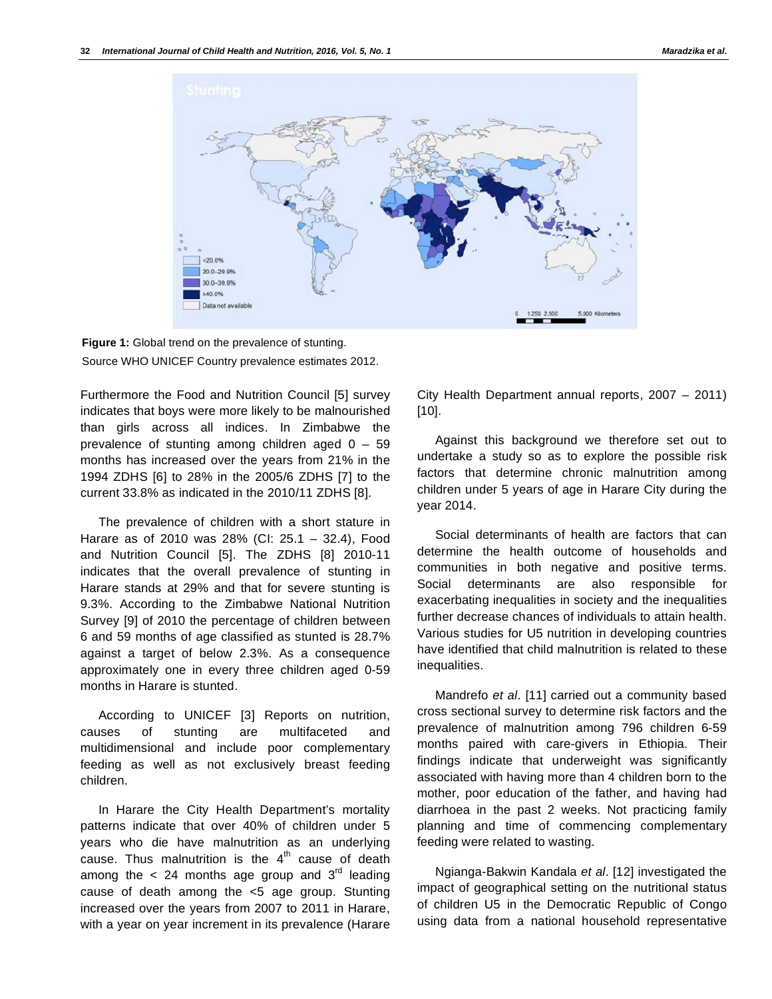



Furthermore the Food and Nutrition Council [5] survey indicates that boys were more likely to be malnourished than girls across all indices. In Zimbabwe the prevalence of stunting among children aged  $0 - 59$ months has increased over the years from 21% in the 1994 ZDHS [6] to 28% in the 2005/6 ZDHS [7] to the current 33.8% as indicated in the 2010/11 ZDHS [8].

The prevalence of children with a short stature in Harare as of 2010 was 28% (CI: 25.1 – 32.4), Food and Nutrition Council [5]. The ZDHS [8] 2010-11 indicates that the overall prevalence of stunting in Harare stands at 29% and that for severe stunting is 9.3%. According to the Zimbabwe National Nutrition Survey [9] of 2010 the percentage of children between 6 and 59 months of age classified as stunted is 28.7% against a target of below 2.3%. As a consequence approximately one in every three children aged 0-59 months in Harare is stunted.

According to UNICEF [3] Reports on nutrition, causes of stunting are multifaceted and multidimensional and include poor complementary feeding as well as not exclusively breast feeding children.

In Harare the City Health Department's mortality patterns indicate that over 40% of children under 5 years who die have malnutrition as an underlying cause. Thus malnutrition is the  $4<sup>th</sup>$  cause of death among the  $< 24$  months age group and  $3<sup>rd</sup>$  leading cause of death among the <5 age group. Stunting increased over the years from 2007 to 2011 in Harare, with a year on year increment in its prevalence (Harare

City Health Department annual reports, 2007 – 2011) [10].

Against this background we therefore set out to undertake a study so as to explore the possible risk factors that determine chronic malnutrition among children under 5 years of age in Harare City during the year 2014.

Social determinants of health are factors that can determine the health outcome of households and communities in both negative and positive terms. Social determinants are also responsible for exacerbating inequalities in society and the inequalities further decrease chances of individuals to attain health. Various studies for U5 nutrition in developing countries have identified that child malnutrition is related to these inequalities.

Mandrefo *et al*. [11] carried out a community based cross sectional survey to determine risk factors and the prevalence of malnutrition among 796 children 6-59 months paired with care-givers in Ethiopia. Their findings indicate that underweight was significantly associated with having more than 4 children born to the mother, poor education of the father, and having had diarrhoea in the past 2 weeks. Not practicing family planning and time of commencing complementary feeding were related to wasting.

Ngianga-Bakwin Kandala *et al*. [12] investigated the impact of geographical setting on the nutritional status of children U5 in the Democratic Republic of Congo using data from a national household representative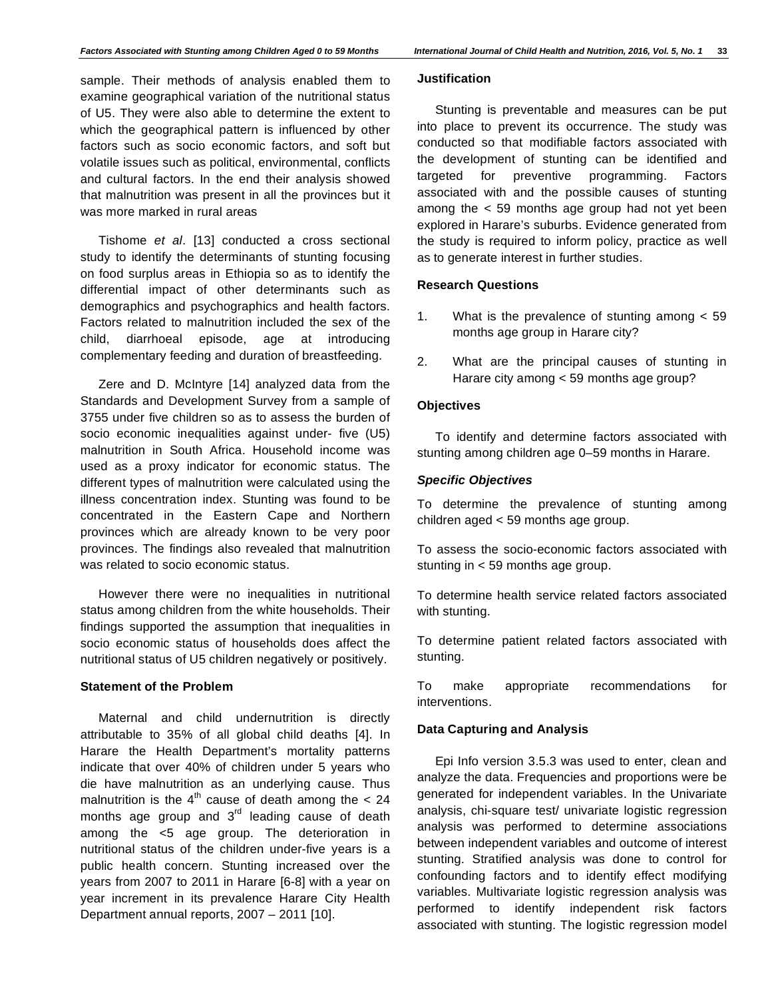sample. Their methods of analysis enabled them to examine geographical variation of the nutritional status of U5. They were also able to determine the extent to which the geographical pattern is influenced by other factors such as socio economic factors, and soft but volatile issues such as political, environmental, conflicts and cultural factors. In the end their analysis showed that malnutrition was present in all the provinces but it was more marked in rural areas

Tishome *et al*. [13] conducted a cross sectional study to identify the determinants of stunting focusing on food surplus areas in Ethiopia so as to identify the differential impact of other determinants such as demographics and psychographics and health factors. Factors related to malnutrition included the sex of the child, diarrhoeal episode, age at introducing complementary feeding and duration of breastfeeding.

Zere and D. McIntyre [14] analyzed data from the Standards and Development Survey from a sample of 3755 under five children so as to assess the burden of socio economic inequalities against under- five (U5) malnutrition in South Africa. Household income was used as a proxy indicator for economic status. The different types of malnutrition were calculated using the illness concentration index. Stunting was found to be concentrated in the Eastern Cape and Northern provinces which are already known to be very poor provinces. The findings also revealed that malnutrition was related to socio economic status.

However there were no inequalities in nutritional status among children from the white households. Their findings supported the assumption that inequalities in socio economic status of households does affect the nutritional status of U5 children negatively or positively.

# **Statement of the Problem**

Maternal and child undernutrition is directly attributable to 35% of all global child deaths [4]. In Harare the Health Department's mortality patterns indicate that over 40% of children under 5 years who die have malnutrition as an underlying cause. Thus malnutrition is the  $4<sup>th</sup>$  cause of death among the  $< 24$ months age group and 3<sup>rd</sup> leading cause of death among the <5 age group. The deterioration in nutritional status of the children under-five years is a public health concern. Stunting increased over the years from 2007 to 2011 in Harare [6-8] with a year on year increment in its prevalence Harare City Health Department annual reports, 2007 – 2011 [10].

#### **Justification**

Stunting is preventable and measures can be put into place to prevent its occurrence. The study was conducted so that modifiable factors associated with the development of stunting can be identified and targeted for preventive programming. Factors associated with and the possible causes of stunting among the < 59 months age group had not yet been explored in Harare's suburbs. Evidence generated from the study is required to inform policy, practice as well as to generate interest in further studies.

# **Research Questions**

- 1. What is the prevalence of stunting among < 59 months age group in Harare city?
- 2. What are the principal causes of stunting in Harare city among < 59 months age group?

#### **Objectives**

To identify and determine factors associated with stunting among children age 0–59 months in Harare.

# *Specific Objectives*

To determine the prevalence of stunting among children aged < 59 months age group.

To assess the socio-economic factors associated with stunting in < 59 months age group.

To determine health service related factors associated with stunting.

To determine patient related factors associated with stunting.

To make appropriate recommendations for interventions.

# **Data Capturing and Analysis**

Epi Info version 3.5.3 was used to enter, clean and analyze the data. Frequencies and proportions were be generated for independent variables. In the Univariate analysis, chi-square test/ univariate logistic regression analysis was performed to determine associations between independent variables and outcome of interest stunting. Stratified analysis was done to control for confounding factors and to identify effect modifying variables. Multivariate logistic regression analysis was performed to identify independent risk factors associated with stunting. The logistic regression model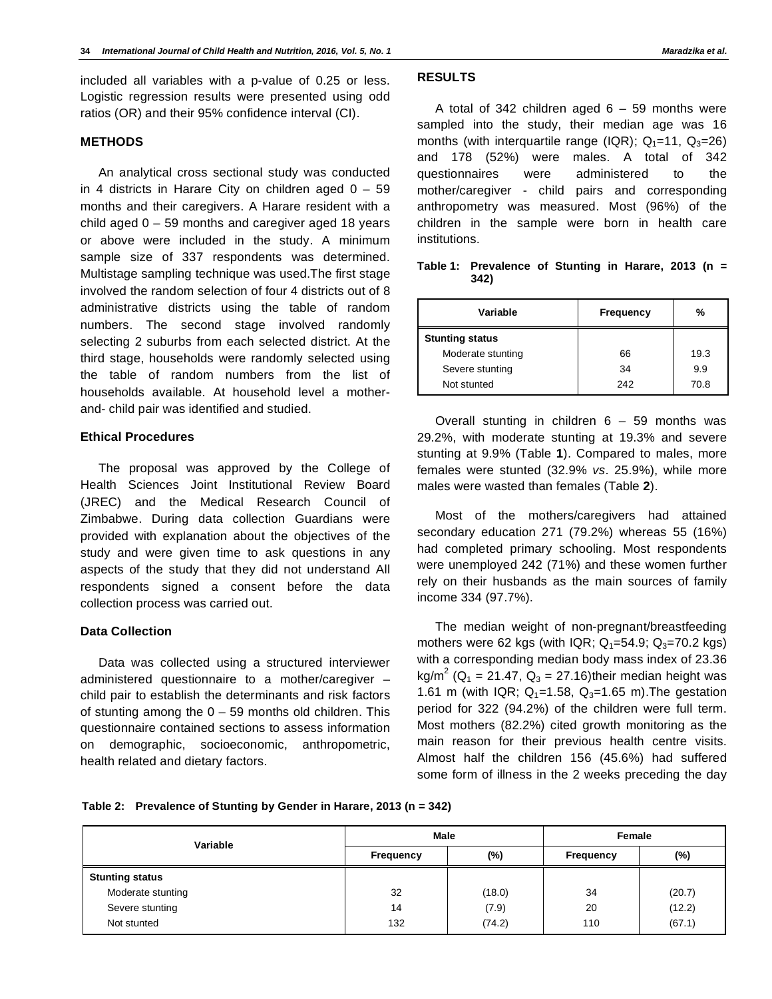included all variables with a p-value of 0.25 or less. Logistic regression results were presented using odd ratios (OR) and their 95% confidence interval (CI).

#### **METHODS**

An analytical cross sectional study was conducted in 4 districts in Harare City on children aged  $0 - 59$ months and their caregivers. A Harare resident with a child aged  $0 - 59$  months and caregiver aged 18 years or above were included in the study. A minimum sample size of 337 respondents was determined. Multistage sampling technique was used.The first stage involved the random selection of four 4 districts out of 8 administrative districts using the table of random numbers. The second stage involved randomly selecting 2 suburbs from each selected district. At the third stage, households were randomly selected using the table of random numbers from the list of households available. At household level a motherand- child pair was identified and studied.

# **Ethical Procedures**

The proposal was approved by the College of Health Sciences Joint Institutional Review Board (JREC) and the Medical Research Council of Zimbabwe. During data collection Guardians were provided with explanation about the objectives of the study and were given time to ask questions in any aspects of the study that they did not understand All respondents signed a consent before the data collection process was carried out.

# **Data Collection**

Data was collected using a structured interviewer administered questionnaire to a mother/caregiver – child pair to establish the determinants and risk factors of stunting among the  $0 - 59$  months old children. This questionnaire contained sections to assess information on demographic, socioeconomic, anthropometric, health related and dietary factors.

# **RESULTS**

A total of 342 children aged  $6 - 59$  months were sampled into the study, their median age was 16 months (with interquartile range (IQR);  $Q_1=11$ ,  $Q_3=26$ ) and 178 (52%) were males. A total of 342 questionnaires were administered to the mother/caregiver - child pairs and corresponding anthropometry was measured. Most (96%) of the children in the sample were born in health care institutions.

| Table 1: Prevalence of Stunting in Harare, 2013 (n = |  |  |  |  |
|------------------------------------------------------|--|--|--|--|
| 342)                                                 |  |  |  |  |

| Variable               | <b>Frequency</b> | %    |
|------------------------|------------------|------|
| <b>Stunting status</b> |                  |      |
| Moderate stunting      | 66               | 19.3 |
| Severe stunting        | 34               | 9.9  |
| Not stunted            | 242              | 70.8 |

Overall stunting in children  $6 - 59$  months was 29.2%, with moderate stunting at 19.3% and severe stunting at 9.9% (Table **1**). Compared to males, more females were stunted (32.9% *vs*. 25.9%), while more males were wasted than females (Table **2**).

Most of the mothers/caregivers had attained secondary education 271 (79.2%) whereas 55 (16%) had completed primary schooling. Most respondents were unemployed 242 (71%) and these women further rely on their husbands as the main sources of family income 334 (97.7%).

The median weight of non-pregnant/breastfeeding mothers were 62 kgs (with IQR;  $Q_1 = 54.9$ ;  $Q_3 = 70.2$  kgs) with a corresponding median body mass index of 23.36 kg/m<sup>2</sup> (Q<sub>1</sub> = 21.47, Q<sub>3</sub> = 27.16)their median height was 1.61 m (with IQR;  $Q_1 = 1.58$ ,  $Q_3 = 1.65$  m). The gestation period for 322 (94.2%) of the children were full term. Most mothers (82.2%) cited growth monitoring as the main reason for their previous health centre visits. Almost half the children 156 (45.6%) had suffered some form of illness in the 2 weeks preceding the day

#### **Table 2: Prevalence of Stunting by Gender in Harare, 2013 (n = 342)**

| Variable               | Male      |        | Female           |        |
|------------------------|-----------|--------|------------------|--------|
|                        | Frequency | $(\%)$ | <b>Frequency</b> | $(\%)$ |
| <b>Stunting status</b> |           |        |                  |        |
| Moderate stunting      | 32        | (18.0) | 34               | (20.7) |
| Severe stunting        | 14        | (7.9)  | 20               | (12.2) |
| Not stunted            | 132       | (74.2) | 110              | (67.1) |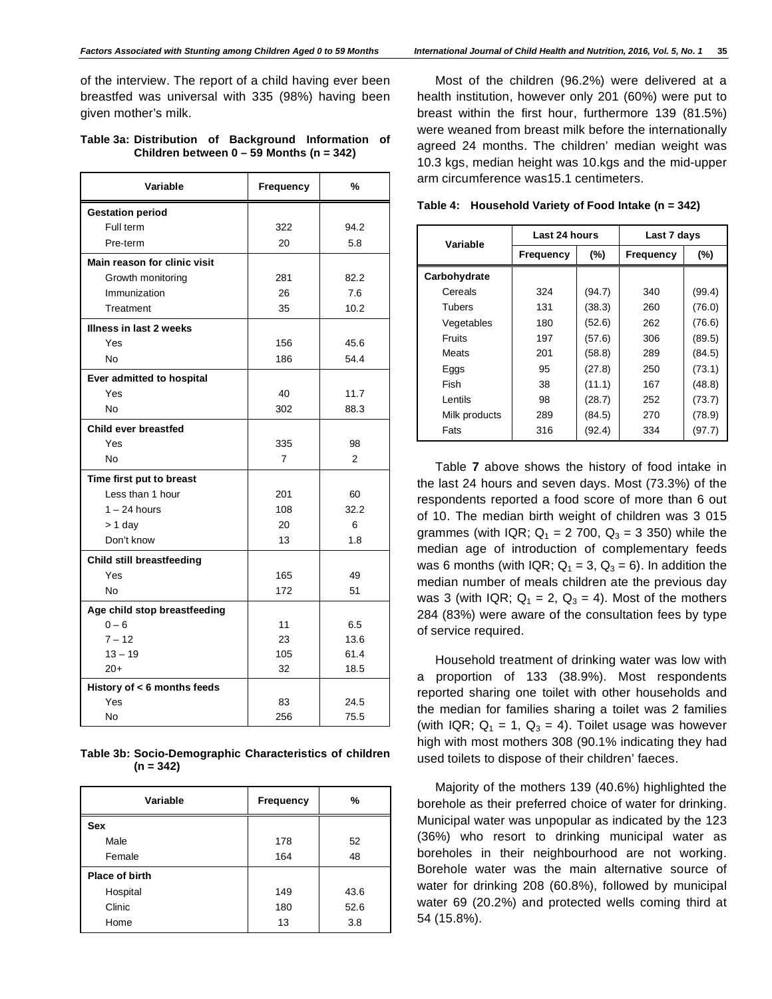of the interview. The report of a child having ever been breastfed was universal with 335 (98%) having been given mother's milk.

#### **Table 3a: Distribution of Background Information of Children between 0 – 59 Months (n = 342)**

| Variable                         | Frequency      | %    |
|----------------------------------|----------------|------|
| <b>Gestation period</b>          |                |      |
| Full term                        | 322            | 94.2 |
| Pre-term                         | 20             | 5.8  |
| Main reason for clinic visit     |                |      |
| Growth monitoring                | 281            | 82.2 |
| Immunization                     | 26             | 7.6  |
| Treatment                        | 35             | 10.2 |
| Illness in last 2 weeks          |                |      |
| Yes                              | 156            | 45.6 |
| No                               | 186            | 54.4 |
| Ever admitted to hospital        |                |      |
| Yes                              | 40             | 11.7 |
| <b>No</b>                        | 302            | 88.3 |
| Child ever breastfed             |                |      |
| Yes                              | 335            | 98   |
| No                               | $\overline{7}$ | 2    |
| Time first put to breast         |                |      |
| Less than 1 hour                 | 201            | 60   |
| $1 - 24$ hours                   | 108            | 32.2 |
| $> 1$ day                        | 20             | 6    |
| Don't know                       | 13             | 1.8  |
| <b>Child still breastfeeding</b> |                |      |
| Yes                              | 165            | 49   |
| <b>No</b>                        | 172            | 51   |
| Age child stop breastfeeding     |                |      |
| $0 - 6$                          | 11             | 6.5  |
| $7 - 12$                         | 23             | 13.6 |
| $13 - 19$                        | 105            | 61.4 |
| $20+$                            | 32             | 18.5 |
| History of < 6 months feeds      |                |      |
| Yes                              | 83             | 24.5 |
| No                               | 256            | 75.5 |

| Table 3b: Socio-Demographic Characteristics of children |  |
|---------------------------------------------------------|--|
| $(n = 342)$                                             |  |

| Variable              | <b>Frequency</b> | %    |
|-----------------------|------------------|------|
| <b>Sex</b>            |                  |      |
| Male                  | 178              | 52   |
| Female                | 164              | 48   |
| <b>Place of birth</b> |                  |      |
| Hospital              | 149              | 43.6 |
| Clinic                | 180              | 52.6 |
| Home                  | 13               | 3.8  |

Most of the children (96.2%) were delivered at a health institution, however only 201 (60%) were put to breast within the first hour, furthermore 139 (81.5%) were weaned from breast milk before the internationally agreed 24 months. The children' median weight was 10.3 kgs, median height was 10.kgs and the mid-upper arm circumference was15.1 centimeters.

|  | Table 4: Household Variety of Food Intake (n = 342) |  |  |  |  |  |
|--|-----------------------------------------------------|--|--|--|--|--|
|--|-----------------------------------------------------|--|--|--|--|--|

| Variable      | Last 24 hours    |        | Last 7 days      |        |  |
|---------------|------------------|--------|------------------|--------|--|
|               | <b>Frequency</b> | $(\%)$ | <b>Frequency</b> | $(\%)$ |  |
| Carbohydrate  |                  |        |                  |        |  |
| Cereals       | 324              | (94.7) | 340              | (99.4) |  |
| Tubers        | 131              | (38.3) | 260              | (76.0) |  |
| Vegetables    | 180              | (52.6) | 262              | (76.6) |  |
| Fruits        | 197              | (57.6) | 306              | (89.5) |  |
| Meats         | 201              | (58.8) | 289              | (84.5) |  |
| Eggs          | 95               | (27.8) | 250              | (73.1) |  |
| Fish          | 38               | (11.1) | 167              | (48.8) |  |
| Lentils       | 98               | (28.7) | 252              | (73.7) |  |
| Milk products | 289              | (84.5) | 270              | (78.9) |  |
| Fats          | 316              | (92.4) | 334              | (97.7) |  |

Table **7** above shows the history of food intake in the last 24 hours and seven days. Most (73.3%) of the respondents reported a food score of more than 6 out of 10. The median birth weight of children was 3 015 grammes (with IQR;  $Q_1 = 2 700$ ,  $Q_3 = 3 350$ ) while the median age of introduction of complementary feeds was 6 months (with IQR;  $Q_1 = 3$ ,  $Q_3 = 6$ ). In addition the median number of meals children ate the previous day was 3 (with IQR;  $Q_1 = 2$ ,  $Q_3 = 4$ ). Most of the mothers 284 (83%) were aware of the consultation fees by type of service required.

Household treatment of drinking water was low with a proportion of 133 (38.9%). Most respondents reported sharing one toilet with other households and the median for families sharing a toilet was 2 families (with IQR;  $Q_1 = 1$ ,  $Q_3 = 4$ ). Toilet usage was however high with most mothers 308 (90.1% indicating they had used toilets to dispose of their children' faeces.

Majority of the mothers 139 (40.6%) highlighted the borehole as their preferred choice of water for drinking. Municipal water was unpopular as indicated by the 123 (36%) who resort to drinking municipal water as boreholes in their neighbourhood are not working. Borehole water was the main alternative source of water for drinking 208 (60.8%), followed by municipal water 69 (20.2%) and protected wells coming third at 54 (15.8%).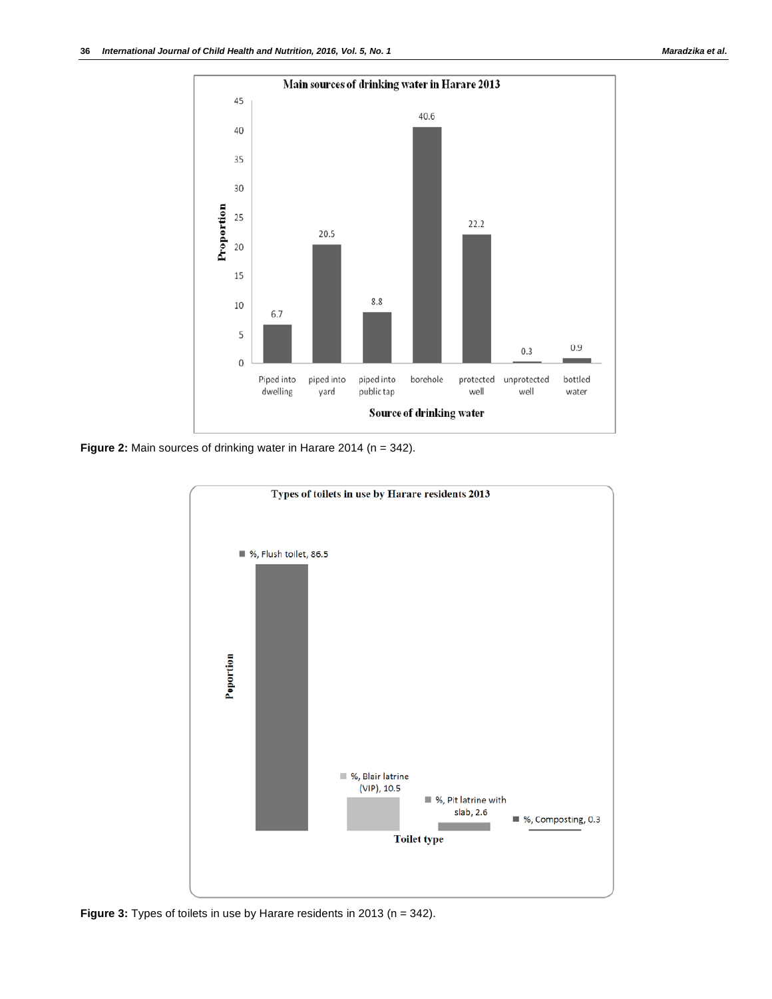

**Figure 2:** Main sources of drinking water in Harare 2014 (n = 342).



**Figure 3:** Types of toilets in use by Harare residents in 2013 (n = 342).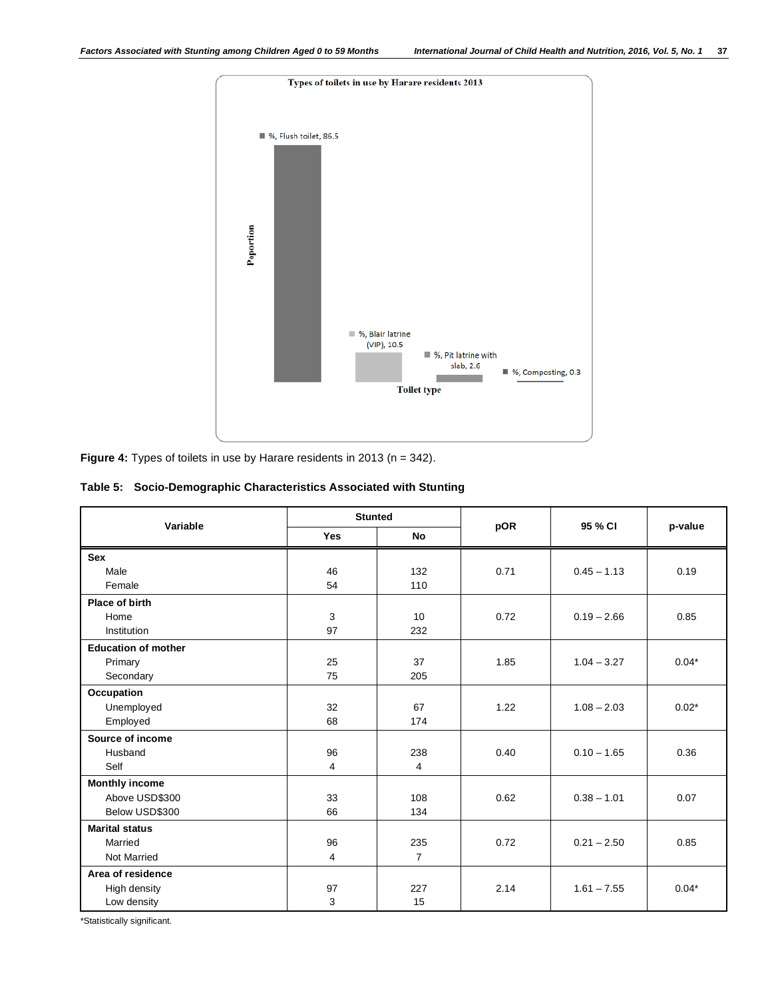

**Figure 4:** Types of toilets in use by Harare residents in 2013 (n = 342).

# **Table 5: Socio-Demographic Characteristics Associated with Stunting**

| Variable                   | <b>Stunted</b> |                |      | 95 % CI       |         |
|----------------------------|----------------|----------------|------|---------------|---------|
|                            | <b>Yes</b>     | <b>No</b>      | pOR  |               | p-value |
| Sex                        |                |                |      |               |         |
| Male                       | 46             | 132            | 0.71 | $0.45 - 1.13$ | 0.19    |
| Female                     | 54             | 110            |      |               |         |
| Place of birth             |                |                |      |               |         |
| Home                       | 3              | 10             | 0.72 | $0.19 - 2.66$ | 0.85    |
| Institution                | 97             | 232            |      |               |         |
| <b>Education of mother</b> |                |                |      |               |         |
| Primary                    | 25             | 37             | 1.85 | $1.04 - 3.27$ | $0.04*$ |
| Secondary                  | 75             | 205            |      |               |         |
| Occupation                 |                |                |      |               |         |
| Unemployed                 | 32             | 67             | 1.22 | $1.08 - 2.03$ | $0.02*$ |
| Employed                   | 68             | 174            |      |               |         |
| Source of income           |                |                |      |               |         |
| Husband                    | 96             | 238            | 0.40 | $0.10 - 1.65$ | 0.36    |
| Self                       | 4              | $\overline{4}$ |      |               |         |
| <b>Monthly income</b>      |                |                |      |               |         |
| Above USD\$300             | 33             | 108            | 0.62 | $0.38 - 1.01$ | 0.07    |
| Below USD\$300             | 66             | 134            |      |               |         |
| <b>Marital status</b>      |                |                |      |               |         |
| Married                    | 96             | 235            | 0.72 | $0.21 - 2.50$ | 0.85    |
| <b>Not Married</b>         | 4              | $\overline{7}$ |      |               |         |
| Area of residence          |                |                |      |               |         |
| <b>High density</b>        | 97             | 227            | 2.14 | $1.61 - 7.55$ | $0.04*$ |
| Low density                | 3              | 15             |      |               |         |

\*Statistically significant.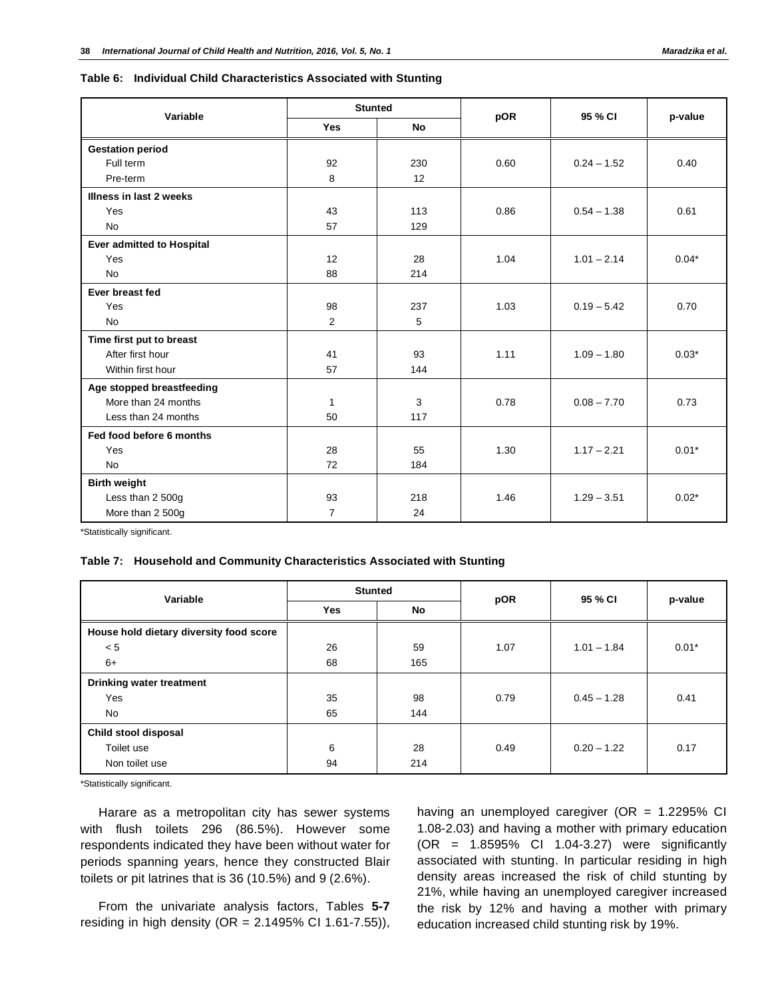#### **Table 6: Individual Child Characteristics Associated with Stunting**

| Variable                         | <b>Stunted</b> |           |      | 95 % CI       |         |  |
|----------------------------------|----------------|-----------|------|---------------|---------|--|
|                                  | <b>Yes</b>     | <b>No</b> | pOR  |               | p-value |  |
| <b>Gestation period</b>          |                |           |      |               |         |  |
| Full term                        | 92             | 230       | 0.60 | $0.24 - 1.52$ | 0.40    |  |
| Pre-term                         | 8              | 12        |      |               |         |  |
| Illness in last 2 weeks          |                |           |      |               |         |  |
| Yes                              | 43             | 113       | 0.86 | $0.54 - 1.38$ | 0.61    |  |
| <b>No</b>                        | 57             | 129       |      |               |         |  |
| <b>Ever admitted to Hospital</b> |                |           |      |               |         |  |
| Yes                              | 12             | 28        | 1.04 | $1.01 - 2.14$ | $0.04*$ |  |
| <b>No</b>                        | 88             | 214       |      |               |         |  |
| Ever breast fed                  |                |           |      |               |         |  |
| Yes                              | 98             | 237       | 1.03 | $0.19 - 5.42$ | 0.70    |  |
| <b>No</b>                        | $\overline{2}$ | 5         |      |               |         |  |
| Time first put to breast         |                |           |      |               |         |  |
| After first hour                 | 41             | 93        | 1.11 | $1.09 - 1.80$ | $0.03*$ |  |
| Within first hour                | 57             | 144       |      |               |         |  |
| Age stopped breastfeeding        |                |           |      |               |         |  |
| More than 24 months              | 1              | 3         | 0.78 | $0.08 - 7.70$ | 0.73    |  |
| Less than 24 months              | 50             | 117       |      |               |         |  |
| Fed food before 6 months         |                |           |      |               |         |  |
| Yes                              | 28             | 55        | 1.30 | $1.17 - 2.21$ | $0.01*$ |  |
| <b>No</b>                        | 72             | 184       |      |               |         |  |
| <b>Birth weight</b>              |                |           |      |               |         |  |
| Less than 2 500g                 | 93             | 218       | 1.46 | $1.29 - 3.51$ | $0.02*$ |  |
| More than 2 500g                 | $\overline{7}$ | 24        |      |               |         |  |

\*Statistically significant.

#### **Table 7: Household and Community Characteristics Associated with Stunting**

| Variable                                | <b>Stunted</b> |     | pOR  | 95 % CI       |         |  |
|-----------------------------------------|----------------|-----|------|---------------|---------|--|
|                                         | <b>Yes</b>     | No  |      |               | p-value |  |
| House hold dietary diversity food score |                |     |      |               |         |  |
| < 5                                     | 26             | 59  | 1.07 | $1.01 - 1.84$ | $0.01*$ |  |
| $6+$                                    | 68             | 165 |      |               |         |  |
| Drinking water treatment                |                |     |      |               |         |  |
| Yes                                     | 35             | 98  | 0.79 | $0.45 - 1.28$ | 0.41    |  |
| No                                      | 65             | 144 |      |               |         |  |
| Child stool disposal                    |                |     |      |               |         |  |
| Toilet use                              | 6              | 28  | 0.49 | $0.20 - 1.22$ | 0.17    |  |
| Non toilet use                          | 94             | 214 |      |               |         |  |

\*Statistically significant.

Harare as a metropolitan city has sewer systems with flush toilets 296 (86.5%). However some respondents indicated they have been without water for periods spanning years, hence they constructed Blair toilets or pit latrines that is 36 (10.5%) and 9 (2.6%).

From the univariate analysis factors, Tables **5-7** residing in high density (OR = 2.1495% CI 1.61-7.55)), having an unemployed caregiver (OR =  $1.2295\%$  CI 1.08-2.03) and having a mother with primary education (OR = 1.8595% CI 1.04-3.27) were significantly associated with stunting. In particular residing in high density areas increased the risk of child stunting by 21%, while having an unemployed caregiver increased the risk by 12% and having a mother with primary education increased child stunting risk by 19%.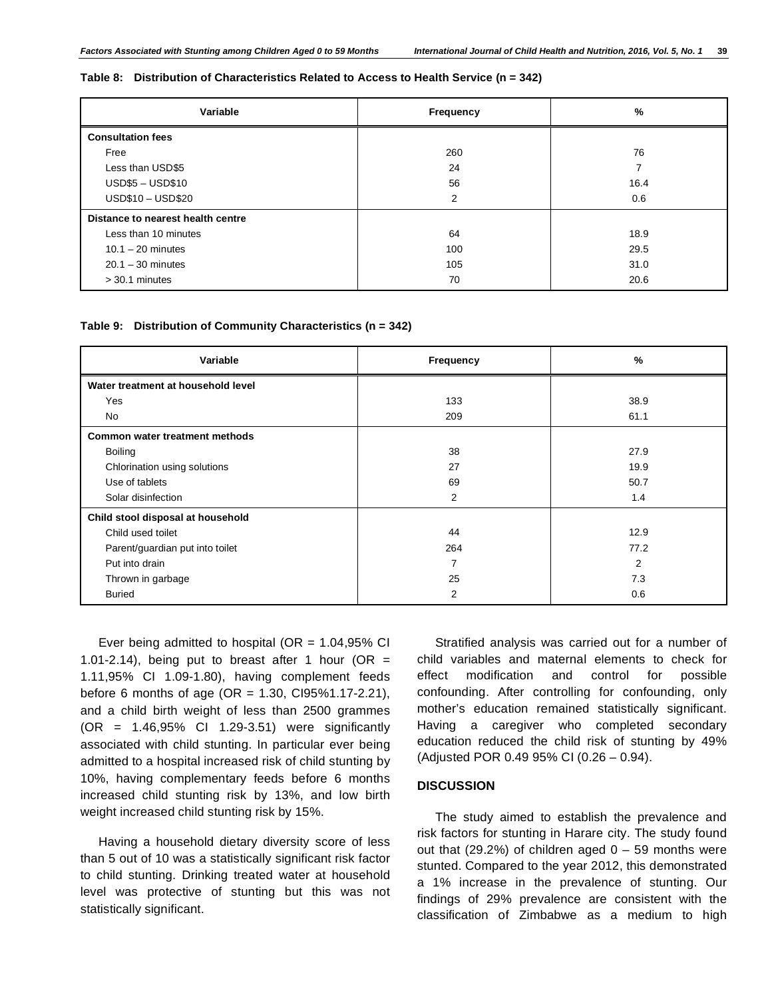#### **Table 8: Distribution of Characteristics Related to Access to Health Service (n = 342)**

| Variable                          | Frequency | $\frac{9}{6}$ |
|-----------------------------------|-----------|---------------|
| <b>Consultation fees</b>          |           |               |
| Free                              | 260       | 76            |
| Less than USD\$5                  | 24        | 7             |
| <b>USD\$5 - USD\$10</b>           | 56        | 16.4          |
| USD\$10 - USD\$20                 | 2         | 0.6           |
| Distance to nearest health centre |           |               |
| Less than 10 minutes              | 64        | 18.9          |
| $10.1 - 20$ minutes               | 100       | 29.5          |
| $20.1 - 30$ minutes               | 105       | 31.0          |
| $>$ 30.1 minutes                  | 70        | 20.6          |

#### **Table 9: Distribution of Community Characteristics (n = 342)**

| Variable                           | Frequency | %              |  |
|------------------------------------|-----------|----------------|--|
| Water treatment at household level |           |                |  |
| Yes                                | 133       | 38.9           |  |
| No                                 | 209       | 61.1           |  |
| Common water treatment methods     |           |                |  |
| Boiling                            | 38        | 27.9           |  |
| Chlorination using solutions       | 27        | 19.9           |  |
| Use of tablets                     | 69        | 50.7           |  |
| Solar disinfection                 | 2         | 1.4            |  |
| Child stool disposal at household  |           |                |  |
| Child used toilet                  | 44        | 12.9           |  |
| Parent/guardian put into toilet    | 264       | 77.2           |  |
| Put into drain                     | ⇁         | $\overline{2}$ |  |
| Thrown in garbage                  | 25        | 7.3            |  |
| <b>Buried</b>                      | 2         | 0.6            |  |

Ever being admitted to hospital ( $OR = 1.04,95\%$  CI 1.01-2.14), being put to breast after 1 hour (OR = 1.11,95% CI 1.09-1.80), having complement feeds before 6 months of age (OR = 1.30, CI95%1.17-2.21), and a child birth weight of less than 2500 grammes (OR = 1.46,95% CI 1.29-3.51) were significantly associated with child stunting. In particular ever being admitted to a hospital increased risk of child stunting by 10%, having complementary feeds before 6 months increased child stunting risk by 13%, and low birth weight increased child stunting risk by 15%.

Having a household dietary diversity score of less than 5 out of 10 was a statistically significant risk factor to child stunting. Drinking treated water at household level was protective of stunting but this was not statistically significant.

Stratified analysis was carried out for a number of child variables and maternal elements to check for effect modification and control for possible confounding. After controlling for confounding, only mother's education remained statistically significant. Having a caregiver who completed secondary education reduced the child risk of stunting by 49% (Adjusted POR 0.49 95% CI (0.26 – 0.94).

### **DISCUSSION**

The study aimed to establish the prevalence and risk factors for stunting in Harare city. The study found out that (29.2%) of children aged  $0 - 59$  months were stunted. Compared to the year 2012, this demonstrated a 1% increase in the prevalence of stunting. Our findings of 29% prevalence are consistent with the classification of Zimbabwe as a medium to high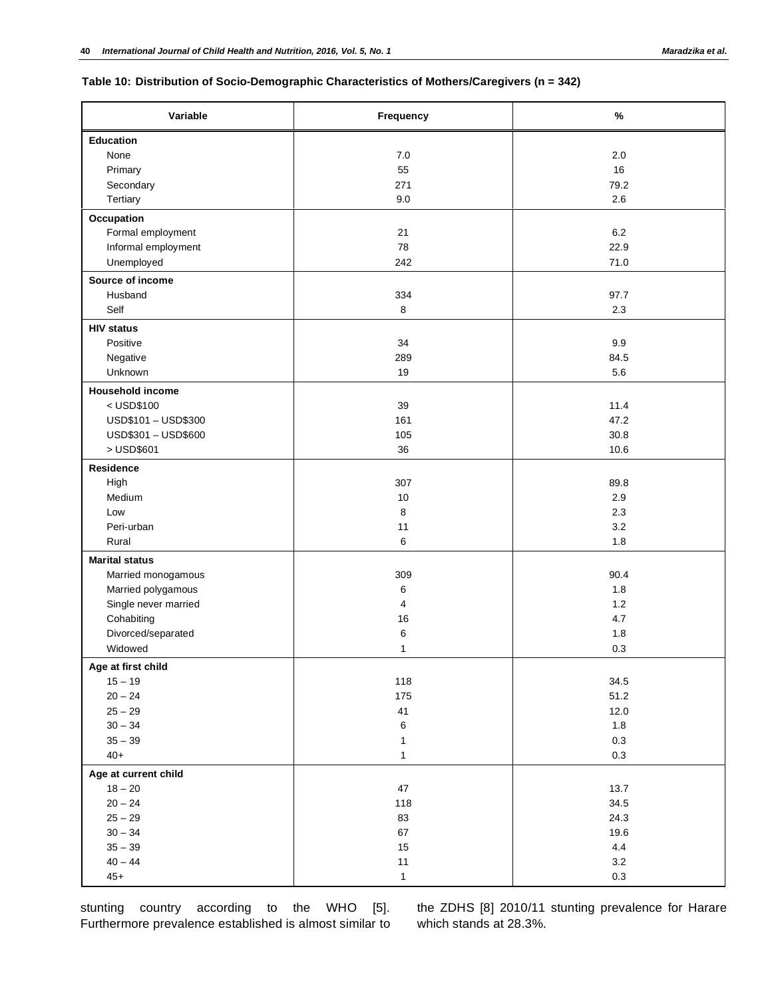# **Table 10: Distribution of Socio-Demographic Characteristics of Mothers/Caregivers (n = 342)**

| Variable                              | Frequency      | $\%$         |
|---------------------------------------|----------------|--------------|
| Education                             |                |              |
| None                                  | 7.0            | 2.0          |
| Primary                               | 55             | 16           |
| Secondary                             | 271            | 79.2         |
| Tertiary                              | 9.0            | 2.6          |
| Occupation                            |                |              |
| Formal employment                     | 21             | 6.2          |
| Informal employment                   | 78             | 22.9         |
| Unemployed                            | 242            | 71.0         |
| Source of income                      |                |              |
| Husband                               | 334            | 97.7         |
| Self                                  | 8              | 2.3          |
| <b>HIV status</b>                     |                |              |
| Positive                              | 34             | 9.9          |
| Negative                              | 289            | 84.5         |
| Unknown                               | 19             | 5.6          |
|                                       |                |              |
| <b>Household income</b><br>< USD\$100 | 39             | 11.4         |
|                                       | 161            | 47.2         |
| USD\$101-USD\$300                     |                |              |
| USD\$301 - USD\$600                   | 105            | 30.8         |
| > USD\$601                            | 36             | 10.6         |
| Residence                             |                |              |
| High                                  | 307            | 89.8         |
| Medium                                | 10             | 2.9          |
| Low                                   | 8              | 2.3          |
| Peri-urban                            | 11             | 3.2          |
| Rural                                 | 6              | 1.8          |
| <b>Marital status</b>                 |                |              |
| Married monogamous                    | 309            | 90.4         |
| Married polygamous                    | 6              | 1.8          |
| Single never married                  | $\overline{4}$ | 1.2          |
| Cohabiting                            | 16             | 4.7          |
| Divorced/separated                    | 6              | 1.8          |
| Widowed                               | $\mathbf{1}$   | 0.3          |
| Age at first child                    |                |              |
| $15 - 19$                             | 118            | 34.5         |
| $20 - 24$                             | 175            | 51.2         |
| $25 - 29$                             | 41             | 12.0         |
| $30 - 34$                             | $\,6$          | $1.8\,$      |
| $35 - 39$                             | $\mathbf{1}$   | $0.3\,$      |
| $40+$                                 | $\mathbf{1}$   | $0.3\,$      |
|                                       |                |              |
| Age at current child<br>$18 - 20$     | 47             | 13.7         |
| $20 - 24$                             |                |              |
| $25 - 29$                             | 118<br>83      | 34.5<br>24.3 |
|                                       |                |              |
| $30 - 34$                             | 67             | 19.6         |
| $35 - 39$                             | 15             | 4.4          |
| $40 - 44$                             | 11             | $3.2\,$      |
| $45+$                                 | $\mathbf{1}$   | 0.3          |

stunting country according to the WHO [5]. Furthermore prevalence established is almost similar to the ZDHS [8] 2010/11 stunting prevalence for Harare which stands at 28.3%.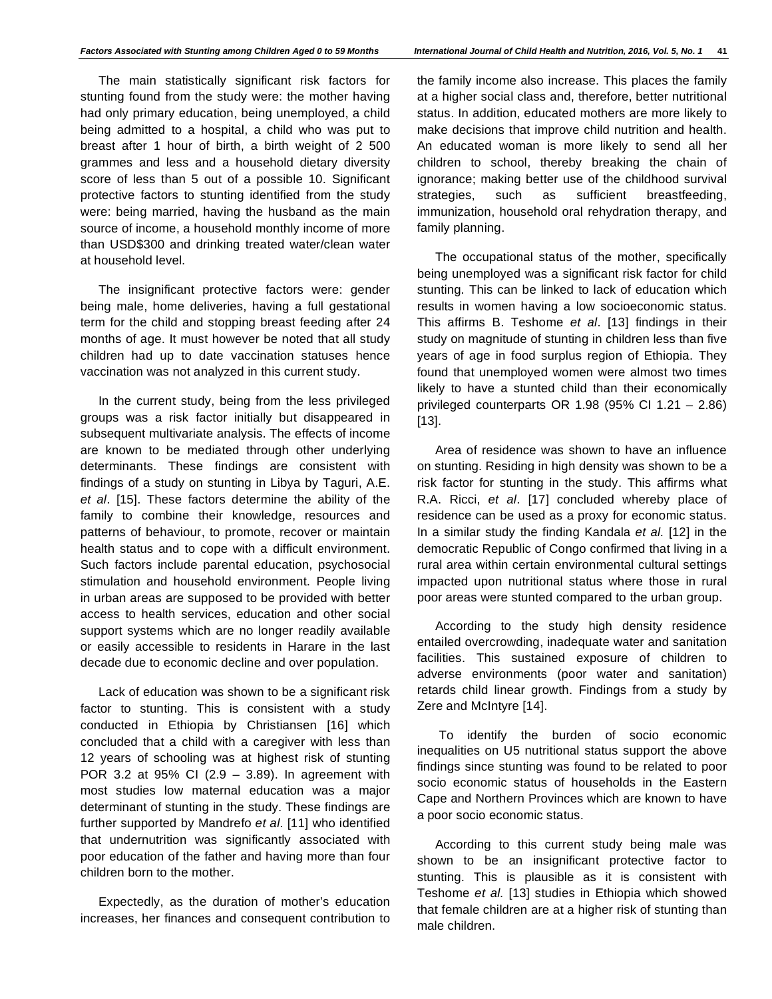The main statistically significant risk factors for stunting found from the study were: the mother having had only primary education, being unemployed, a child being admitted to a hospital, a child who was put to breast after 1 hour of birth, a birth weight of 2 500 grammes and less and a household dietary diversity score of less than 5 out of a possible 10. Significant protective factors to stunting identified from the study were: being married, having the husband as the main source of income, a household monthly income of more than USD\$300 and drinking treated water/clean water at household level.

The insignificant protective factors were: gender being male, home deliveries, having a full gestational term for the child and stopping breast feeding after 24 months of age. It must however be noted that all study children had up to date vaccination statuses hence vaccination was not analyzed in this current study.

In the current study, being from the less privileged groups was a risk factor initially but disappeared in subsequent multivariate analysis. The effects of income are known to be mediated through other underlying determinants. These findings are consistent with findings of a study on stunting in Libya by Taguri, A.E. *et al*. [15]. These factors determine the ability of the family to combine their knowledge, resources and patterns of behaviour, to promote, recover or maintain health status and to cope with a difficult environment. Such factors include parental education, psychosocial stimulation and household environment. People living in urban areas are supposed to be provided with better access to health services, education and other social support systems which are no longer readily available or easily accessible to residents in Harare in the last decade due to economic decline and over population.

Lack of education was shown to be a significant risk factor to stunting. This is consistent with a study conducted in Ethiopia by Christiansen [16] which concluded that a child with a caregiver with less than 12 years of schooling was at highest risk of stunting POR 3.2 at 95% CI (2.9 – 3.89). In agreement with most studies low maternal education was a major determinant of stunting in the study. These findings are further supported by Mandrefo *et al*. [11] who identified that undernutrition was significantly associated with poor education of the father and having more than four children born to the mother.

Expectedly, as the duration of mother's education increases, her finances and consequent contribution to the family income also increase. This places the family at a higher social class and, therefore, better nutritional status. In addition, educated mothers are more likely to make decisions that improve child nutrition and health. An educated woman is more likely to send all her children to school, thereby breaking the chain of ignorance; making better use of the childhood survival strategies, such as sufficient breastfeeding, immunization, household oral rehydration therapy, and family planning.

The occupational status of the mother, specifically being unemployed was a significant risk factor for child stunting. This can be linked to lack of education which results in women having a low socioeconomic status. This affirms B. Teshome *et al*. [13] findings in their study on magnitude of stunting in children less than five years of age in food surplus region of Ethiopia. They found that unemployed women were almost two times likely to have a stunted child than their economically privileged counterparts OR 1.98 (95% CI 1.21 – 2.86) [13].

Area of residence was shown to have an influence on stunting. Residing in high density was shown to be a risk factor for stunting in the study. This affirms what R.A. Ricci, *et al*. [17] concluded whereby place of residence can be used as a proxy for economic status. In a similar study the finding Kandala *et al.* [12] in the democratic Republic of Congo confirmed that living in a rural area within certain environmental cultural settings impacted upon nutritional status where those in rural poor areas were stunted compared to the urban group.

According to the study high density residence entailed overcrowding, inadequate water and sanitation facilities. This sustained exposure of children to adverse environments (poor water and sanitation) retards child linear growth. Findings from a study by Zere and McIntyre [14].

 To identify the burden of socio economic inequalities on U5 nutritional status support the above findings since stunting was found to be related to poor socio economic status of households in the Eastern Cape and Northern Provinces which are known to have a poor socio economic status.

According to this current study being male was shown to be an insignificant protective factor to stunting. This is plausible as it is consistent with Teshome *et al.* [13] studies in Ethiopia which showed that female children are at a higher risk of stunting than male children.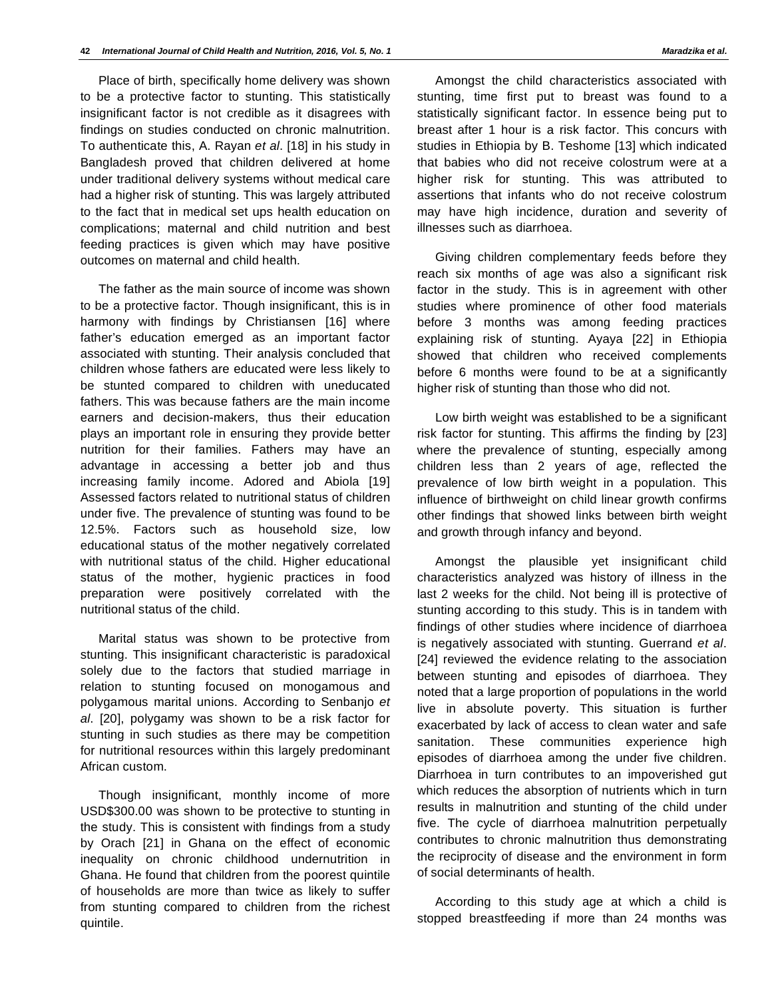Place of birth, specifically home delivery was shown to be a protective factor to stunting. This statistically insignificant factor is not credible as it disagrees with findings on studies conducted on chronic malnutrition. To authenticate this, A. Rayan *et al*. [18] in his study in Bangladesh proved that children delivered at home under traditional delivery systems without medical care had a higher risk of stunting. This was largely attributed to the fact that in medical set ups health education on complications; maternal and child nutrition and best feeding practices is given which may have positive outcomes on maternal and child health.

The father as the main source of income was shown to be a protective factor. Though insignificant, this is in harmony with findings by Christiansen [16] where father's education emerged as an important factor associated with stunting. Their analysis concluded that children whose fathers are educated were less likely to be stunted compared to children with uneducated fathers. This was because fathers are the main income earners and decision-makers, thus their education plays an important role in ensuring they provide better nutrition for their families. Fathers may have an advantage in accessing a better job and thus increasing family income. Adored and Abiola [19] Assessed factors related to nutritional status of children under five. The prevalence of stunting was found to be 12.5%. Factors such as household size, low educational status of the mother negatively correlated with nutritional status of the child. Higher educational status of the mother, hygienic practices in food preparation were positively correlated with the nutritional status of the child.

Marital status was shown to be protective from stunting. This insignificant characteristic is paradoxical solely due to the factors that studied marriage in relation to stunting focused on monogamous and polygamous marital unions. According to Senbanjo *et al*. [20], polygamy was shown to be a risk factor for stunting in such studies as there may be competition for nutritional resources within this largely predominant African custom.

Though insignificant, monthly income of more USD\$300.00 was shown to be protective to stunting in the study. This is consistent with findings from a study by Orach [21] in Ghana on the effect of economic inequality on chronic childhood undernutrition in Ghana. He found that children from the poorest quintile of households are more than twice as likely to suffer from stunting compared to children from the richest quintile.

Amongst the child characteristics associated with stunting, time first put to breast was found to a statistically significant factor. In essence being put to breast after 1 hour is a risk factor. This concurs with studies in Ethiopia by B. Teshome [13] which indicated that babies who did not receive colostrum were at a higher risk for stunting. This was attributed to assertions that infants who do not receive colostrum may have high incidence, duration and severity of illnesses such as diarrhoea.

Giving children complementary feeds before they reach six months of age was also a significant risk factor in the study. This is in agreement with other studies where prominence of other food materials before 3 months was among feeding practices explaining risk of stunting. Ayaya [22] in Ethiopia showed that children who received complements before 6 months were found to be at a significantly higher risk of stunting than those who did not.

Low birth weight was established to be a significant risk factor for stunting. This affirms the finding by [23] where the prevalence of stunting, especially among children less than 2 years of age, reflected the prevalence of low birth weight in a population. This influence of birthweight on child linear growth confirms other findings that showed links between birth weight and growth through infancy and beyond.

Amongst the plausible yet insignificant child characteristics analyzed was history of illness in the last 2 weeks for the child. Not being ill is protective of stunting according to this study. This is in tandem with findings of other studies where incidence of diarrhoea is negatively associated with stunting. Guerrand *et al*. [24] reviewed the evidence relating to the association between stunting and episodes of diarrhoea. They noted that a large proportion of populations in the world live in absolute poverty. This situation is further exacerbated by lack of access to clean water and safe sanitation. These communities experience high episodes of diarrhoea among the under five children. Diarrhoea in turn contributes to an impoverished gut which reduces the absorption of nutrients which in turn results in malnutrition and stunting of the child under five. The cycle of diarrhoea malnutrition perpetually contributes to chronic malnutrition thus demonstrating the reciprocity of disease and the environment in form of social determinants of health.

According to this study age at which a child is stopped breastfeeding if more than 24 months was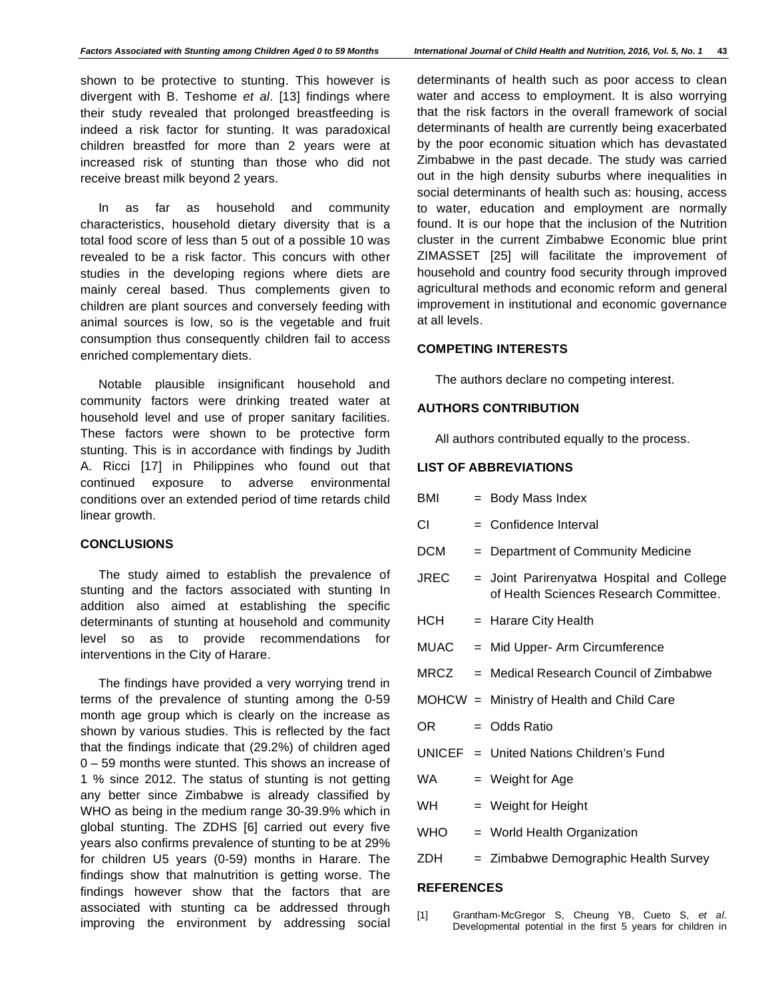shown to be protective to stunting. This however is divergent with B. Teshome *et al*. [13] findings where their study revealed that prolonged breastfeeding is indeed a risk factor for stunting. It was paradoxical children breastfed for more than 2 years were at increased risk of stunting than those who did not receive breast milk beyond 2 years.

In as far as household and community characteristics, household dietary diversity that is a total food score of less than 5 out of a possible 10 was revealed to be a risk factor. This concurs with other studies in the developing regions where diets are mainly cereal based. Thus complements given to children are plant sources and conversely feeding with animal sources is low, so is the vegetable and fruit consumption thus consequently children fail to access enriched complementary diets.

Notable plausible insignificant household and community factors were drinking treated water at household level and use of proper sanitary facilities. These factors were shown to be protective form stunting. This is in accordance with findings by Judith A. Ricci [17] in Philippines who found out that continued exposure to adverse environmental conditions over an extended period of time retards child linear growth.

# **CONCLUSIONS**

The study aimed to establish the prevalence of stunting and the factors associated with stunting In addition also aimed at establishing the specific determinants of stunting at household and community level so as to provide recommendations for interventions in the City of Harare.

The findings have provided a very worrying trend in terms of the prevalence of stunting among the 0-59 month age group which is clearly on the increase as shown by various studies. This is reflected by the fact that the findings indicate that (29.2%) of children aged 0 – 59 months were stunted. This shows an increase of 1 % since 2012. The status of stunting is not getting any better since Zimbabwe is already classified by WHO as being in the medium range 30-39.9% which in global stunting. The ZDHS [6] carried out every five years also confirms prevalence of stunting to be at 29% for children U5 years (0-59) months in Harare. The findings show that malnutrition is getting worse. The findings however show that the factors that are associated with stunting ca be addressed through improving the environment by addressing social

determinants of health such as poor access to clean water and access to employment. It is also worrying that the risk factors in the overall framework of social determinants of health are currently being exacerbated by the poor economic situation which has devastated Zimbabwe in the past decade. The study was carried out in the high density suburbs where inequalities in social determinants of health such as: housing, access to water, education and employment are normally found. It is our hope that the inclusion of the Nutrition cluster in the current Zimbabwe Economic blue print ZIMASSET [25] will facilitate the improvement of household and country food security through improved agricultural methods and economic reform and general improvement in institutional and economic governance at all levels.

# **COMPETING INTERESTS**

The authors declare no competing interest.

#### **AUTHORS CONTRIBUTION**

All authors contributed equally to the process.

# **LIST OF ABBREVIATIONS**

| BMI        | = Body Mass Index                                                                   |
|------------|-------------------------------------------------------------------------------------|
| CI.        | $=$ Confidence Interval                                                             |
| DCM        | = Department of Community Medicine                                                  |
| JREC       | = Joint Parirenyatwa Hospital and College<br>of Health Sciences Research Committee. |
| HCH        | = Harare City Health                                                                |
| MUAC       | = Mid Upper- Arm Circumference                                                      |
| MRCZ       | - Medical Research Council of Zimbabwe                                              |
|            | MOHCW = Ministry of Health and Child Care                                           |
| OR.        | = Odds Ratio                                                                        |
|            | $UNICEF = United Nations Children's Fund$                                           |
| WA.        | = Weight for Age                                                                    |
| WH.        | $=$ Weight for Height                                                               |
| <b>WHO</b> | = World Health Organization                                                         |
| ZDH        | = Zimbabwe Demographic Health Survey                                                |
|            |                                                                                     |

# **REFERENCES**

[1] Grantham-McGregor S, Cheung YB, Cueto S, *et al*. Developmental potential in the first 5 years for children in